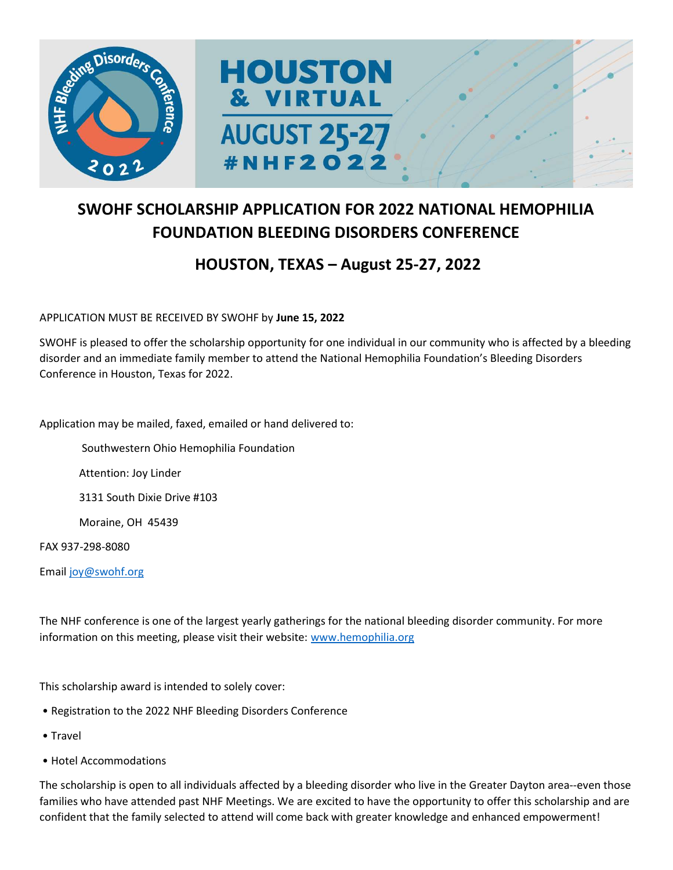

### SWOHF SCHOLARSHIP APPLICATION FOR 2022 NATIONAL HEMOPHILIA FOUNDATION BLEEDING DISORDERS CONFERENCE

#### HOUSTON, TEXAS – August 25-27, 2022

#### APPLICATION MUST BE RECEIVED BY SWOHF by June 15, 2022

SWOHF is pleased to offer the scholarship opportunity for one individual in our community who is affected by a bleeding disorder and an immediate family member to attend the National Hemophilia Foundation's Bleeding Disorders Conference in Houston, Texas for 2022.

Application may be mailed, faxed, emailed or hand delivered to:

Southwestern Ohio Hemophilia Foundation

Attention: Joy Linder

3131 South Dixie Drive #103

Moraine, OH 45439

FAX 937-298-8080

Email joy@swohf.org

The NHF conference is one of the largest yearly gatherings for the national bleeding disorder community. For more information on this meeting, please visit their website: www.hemophilia.org

This scholarship award is intended to solely cover:

- Registration to the 2022 NHF Bleeding Disorders Conference
- Travel
- Hotel Accommodations

The scholarship is open to all individuals affected by a bleeding disorder who live in the Greater Dayton area--even those families who have attended past NHF Meetings. We are excited to have the opportunity to offer this scholarship and are confident that the family selected to attend will come back with greater knowledge and enhanced empowerment!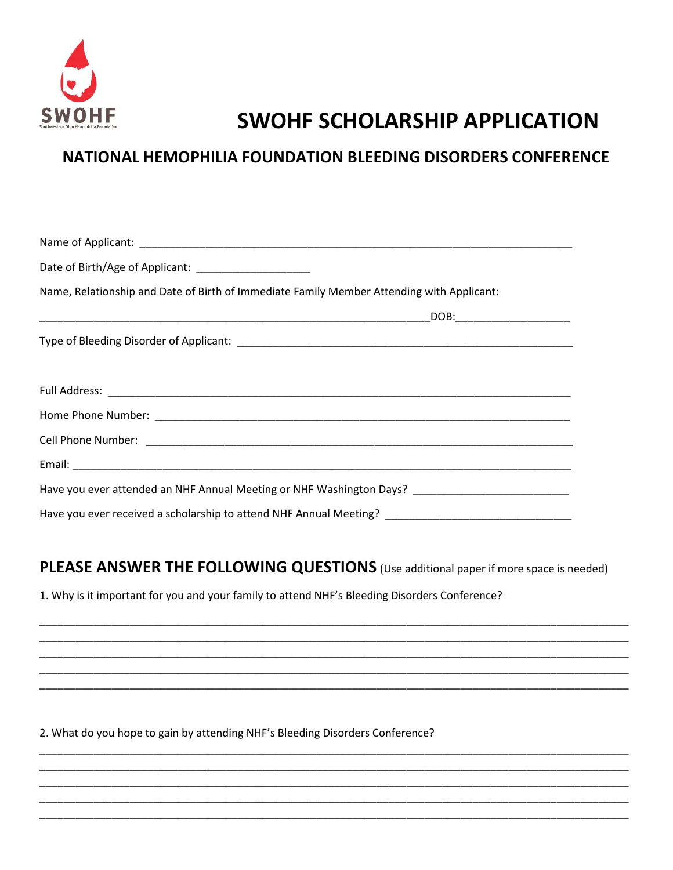

# **SWOHF SCHOLARSHIP APPLICATION**

### NATIONAL HEMOPHILIA FOUNDATION BLEEDING DISORDERS CONFERENCE

| Date of Birth/Age of Applicant: _____________________                                                |
|------------------------------------------------------------------------------------------------------|
| Name, Relationship and Date of Birth of Immediate Family Member Attending with Applicant:            |
| DOB: 2000                                                                                            |
|                                                                                                      |
|                                                                                                      |
|                                                                                                      |
|                                                                                                      |
|                                                                                                      |
| Have you ever attended an NHF Annual Meeting or NHF Washington Days? ______________________________  |
| Have you ever received a scholarship to attend NHF Annual Meeting? _________________________________ |

# PLEASE ANSWER THE FOLLOWING QUESTIONS (Use additional paper if more space is needed)

1. Why is it important for you and your family to attend NHF's Bleeding Disorders Conference?

2. What do you hope to gain by attending NHF's Bleeding Disorders Conference?